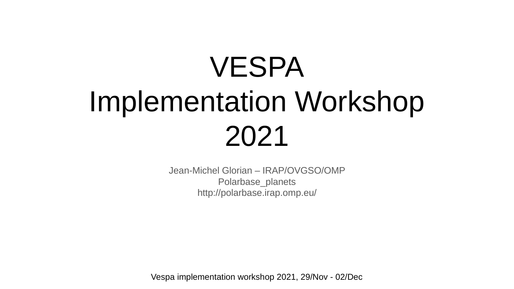# VESPA Implementation Workshop 2021

Jean-Michel Glorian – IRAP/OVGSO/OMP Polarbase\_planets http://polarbase.irap.omp.eu/

Vespa implementation workshop 2021, 29/Nov - 02/Dec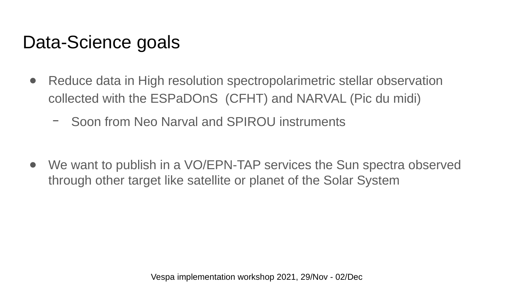### Data-Science goals

- Reduce data in High resolution spectropolarimetric stellar observation collected with the ESPaDOnS (CFHT) and NARVAL (Pic du midi)
	- Soon from Neo Narval and SPIROU instruments

• We want to publish in a VO/EPN-TAP services the Sun spectra observed through other target like satellite or planet of the Solar System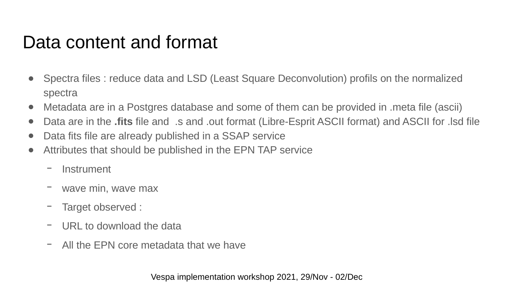#### Data content and format

- Spectra files : reduce data and LSD (Least Square Deconvolution) profils on the normalized spectra
- Metadata are in a Postgres database and some of them can be provided in .meta file (ascii)
- Data are in the **.fits** file and .s and .out format (Libre-Esprit ASCII format) and ASCII for .lsd file
- Data fits file are already published in a SSAP service
- Attributes that should be published in the EPN TAP service
	- **Instrument**
	- wave min, wave max
	- Target observed :
	- URL to download the data
	- All the EPN core metadata that we have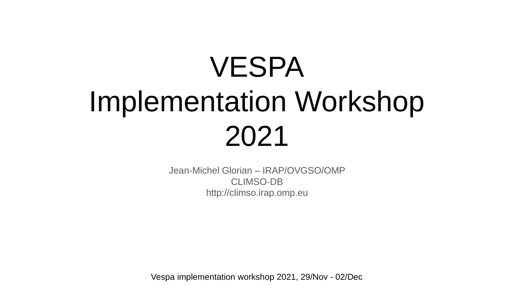# VESPA Implementation Workshop 2021

Jean-Michel Glorian – IRAP/OVGSO/OMP CLIMSO-DB http://climso.irap.omp.eu

Vespa implementation workshop 2021, 29/Nov - 02/Dec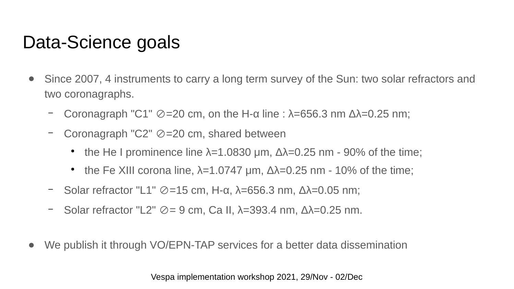### Data-Science goals

- Since 2007, 4 instruments to carry a long term survey of the Sun: two solar refractors and two coronagraphs.
	- Coronagraph "C1"  $\oslash$  =20 cm, on the H-α line : λ=656.3 nm Δλ=0.25 nm;
	- Coronagraph "C2"  $\oslash$  =20 cm, shared between
		- the He I prominence line  $\lambda$ =1.0830 µm,  $\Delta\lambda$ =0.25 nm 90% of the time;
		- the Fe XIII corona line,  $\lambda$ =1.0747 μm,  $\Delta\lambda$ =0.25 nm - 10% of the time;
	- $-$  Solar refractor "L1"  $\oslash$ =15 cm, H-α, λ=656.3 nm, Δλ=0.05 nm;
	- Solar refractor "L2"  $\oslash$  = 9 cm, Ca II,  $\lambda$ =393.4 nm,  $\Delta\lambda$ =0.25 nm.
- We publish it through VO/EPN-TAP services for a better data dissemination